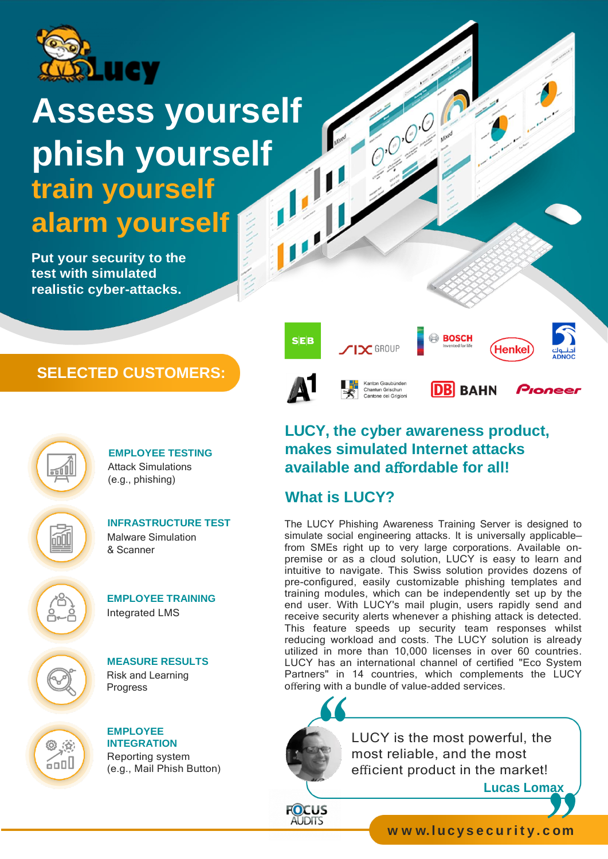

# **Assess yourself phish yourself train yourself alarm yourself**

**Put your security to the test with simulated realistic cyber-attacks.**

# **SELECTED CUSTOMERS:**



**EMPLOYEE TESTING** Attack Simulations (e.g., phishing)



**INFRASTRUCTURE TEST** Malware Simulation & Scanner



**EMPLOYEE TRAINING** Integrated LMS



◎ ☆ 6ool

**MEASURE RESULTS** Risk and Learning Progress

**EMPLOYEE INTEGRATION** Reporting system (e.g., Mail Phish Button)



COOL OF

# **LUCY, the cyber awareness product, makes simulated Internet attacks available and a**ff**ordable for all!**

# **What is LUCY?**

The LUCY Phishing Awareness Training Server is designed to simulate social engineering attacks. It is universally applicable from SMEs right up to very large corporations. Available onpremise or as a cloud solution, LUCY is easy to learn and intuitive to navigate. This Swiss solution provides dozens of pre-configured, easily customizable phishing templates and training modules, which can be independently set up by the end user. With LUCY's mail plugin, users rapidly send and receive security alerts whenever a phishing attack is detected. This feature speeds up security team responses whilst reducing workload and costs. The LUCY solution is already utilized in more than 10,000 licenses in over 60 countries. LUCY has an international channel of certified "Eco System Partners" in 14 countries, which complements the LUCY offering with a bundle of value-added services.



**FOCUS AUDITS** 

LUCY is the most powerful, the most reliable, and the most efficient product in the market!

**Lucas Lomax**